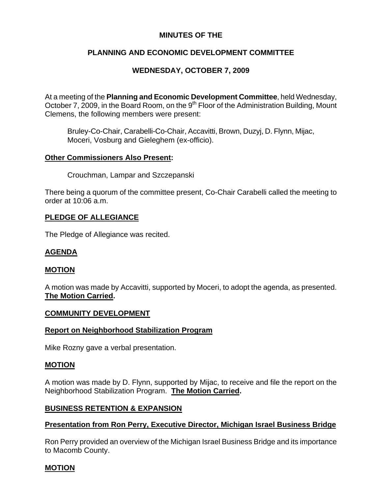## **MINUTES OF THE**

# **PLANNING AND ECONOMIC DEVELOPMENT COMMITTEE**

# **WEDNESDAY, OCTOBER 7, 2009**

At a meeting of the **Planning and Economic Development Committee**, held Wednesday, October 7, 2009, in the Board Room, on the 9<sup>th</sup> Floor of the Administration Building, Mount Clemens, the following members were present:

Bruley-Co-Chair, Carabelli-Co-Chair, Accavitti, Brown, Duzyj, D. Flynn, Mijac, Moceri, Vosburg and Gieleghem (ex-officio).

#### **Other Commissioners Also Present:**

Crouchman, Lampar and Szczepanski

There being a quorum of the committee present, Co-Chair Carabelli called the meeting to order at 10:06 a.m.

#### **PLEDGE OF ALLEGIANCE**

The Pledge of Allegiance was recited.

### **AGENDA**

### **MOTION**

A motion was made by Accavitti, supported by Moceri, to adopt the agenda, as presented. **The Motion Carried.** 

#### **COMMUNITY DEVELOPMENT**

#### **Report on Neighborhood Stabilization Program**

Mike Rozny gave a verbal presentation.

#### **MOTION**

A motion was made by D. Flynn, supported by Mijac, to receive and file the report on the Neighborhood Stabilization Program. **The Motion Carried.** 

#### **BUSINESS RETENTION & EXPANSION**

### **Presentation from Ron Perry, Executive Director, Michigan Israel Business Bridge**

Ron Perry provided an overview of the Michigan Israel Business Bridge and its importance to Macomb County.

#### **MOTION**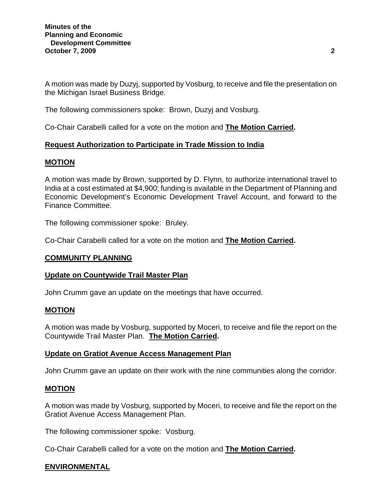A motion was made by Duzyj, supported by Vosburg, to receive and file the presentation on the Michigan Israel Business Bridge.

The following commissioners spoke: Brown, Duzyj and Vosburg.

Co-Chair Carabelli called for a vote on the motion and **The Motion Carried.**

## **Request Authorization to Participate in Trade Mission to India**

## **MOTION**

A motion was made by Brown, supported by D. Flynn, to authorize international travel to India at a cost estimated at \$4,900; funding is available in the Department of Planning and Economic Development's Economic Development Travel Account, and forward to the Finance Committee.

The following commissioner spoke: Bruley.

Co-Chair Carabelli called for a vote on the motion and **The Motion Carried.** 

### **COMMUNITY PLANNING**

### **Update on Countywide Trail Master Plan**

John Crumm gave an update on the meetings that have occurred.

#### **MOTION**

A motion was made by Vosburg, supported by Moceri, to receive and file the report on the Countywide Trail Master Plan. **The Motion Carried.** 

#### **Update on Gratiot Avenue Access Management Plan**

John Crumm gave an update on their work with the nine communities along the corridor.

### **MOTION**

A motion was made by Vosburg, supported by Moceri, to receive and file the report on the Gratiot Avenue Access Management Plan.

The following commissioner spoke: Vosburg.

Co-Chair Carabelli called for a vote on the motion and **The Motion Carried.**

### **ENVIRONMENTAL**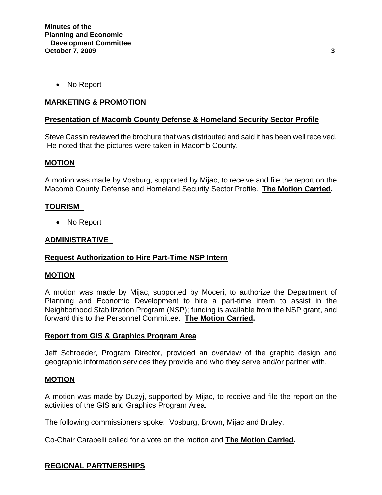• No Report

### **MARKETING & PROMOTION**

#### **Presentation of Macomb County Defense & Homeland Security Sector Profile**

Steve Cassin reviewed the brochure that was distributed and said it has been well received. He noted that the pictures were taken in Macomb County.

#### **MOTION**

A motion was made by Vosburg, supported by Mijac, to receive and file the report on the Macomb County Defense and Homeland Security Sector Profile. **The Motion Carried.** 

#### **TOURISM**

• No Report

#### **ADMINISTRATIVE**

### **Request Authorization to Hire Part-Time NSP Intern**

#### **MOTION**

A motion was made by Mijac, supported by Moceri, to authorize the Department of Planning and Economic Development to hire a part-time intern to assist in the Neighborhood Stabilization Program (NSP); funding is available from the NSP grant, and forward this to the Personnel Committee. **The Motion Carried.** 

#### **Report from GIS & Graphics Program Area**

Jeff Schroeder, Program Director, provided an overview of the graphic design and geographic information services they provide and who they serve and/or partner with.

#### **MOTION**

A motion was made by Duzyj, supported by Mijac, to receive and file the report on the activities of the GIS and Graphics Program Area.

The following commissioners spoke: Vosburg, Brown, Mijac and Bruley.

Co-Chair Carabelli called for a vote on the motion and **The Motion Carried.**

### **REGIONAL PARTNERSHIPS**